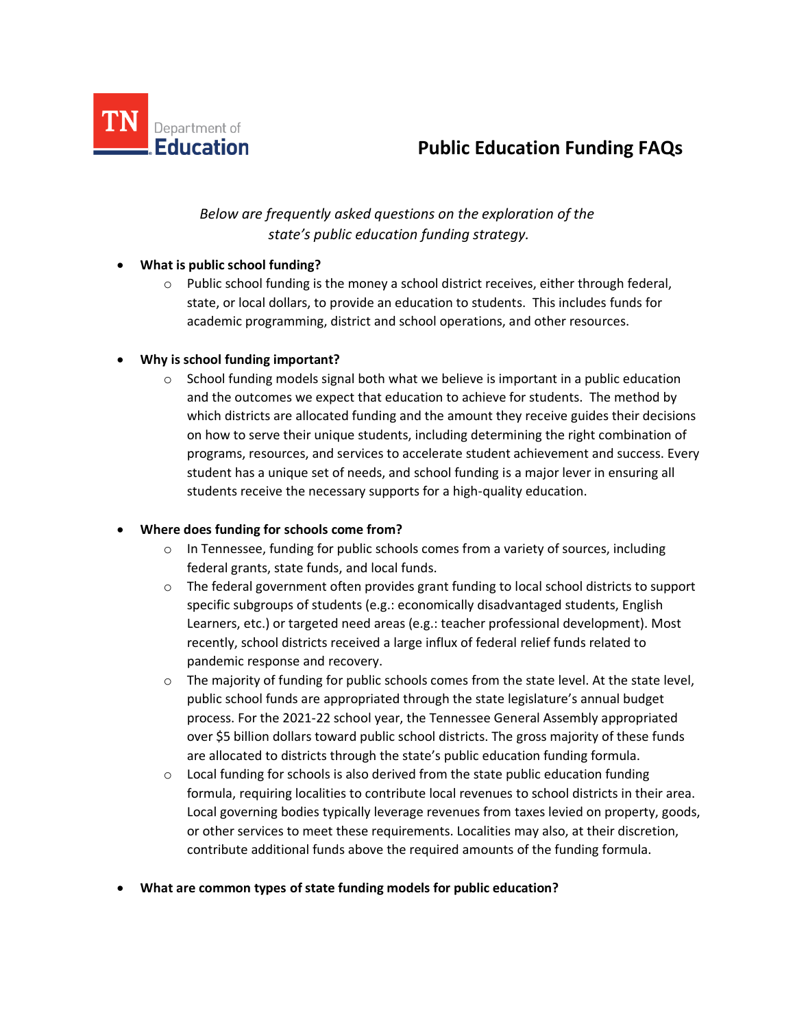

# **Education Funding FAQs** Public Education Funding FAQs

# *Below are frequently asked questions on the exploration of the state's public education funding strategy.*

## • **What is public school funding?**

 $\circ$  Public school funding is the money a school district receives, either through federal, state, or local dollars, to provide an education to students. This includes funds for academic programming, district and school operations, and other resources.

## • **Why is school funding important?**

 $\circ$  School funding models signal both what we believe is important in a public education and the outcomes we expect that education to achieve for students. The method by which districts are allocated funding and the amount they receive guides their decisions on how to serve their unique students, including determining the right combination of programs, resources, and services to accelerate student achievement and success. Every student has a unique set of needs, and school funding is a major lever in ensuring all students receive the necessary supports for a high-quality education.

#### • **Where does funding for schools come from?**

- $\circ$  In Tennessee, funding for public schools comes from a variety of sources, including federal grants, state funds, and local funds.
- $\circ$  The federal government often provides grant funding to local school districts to support specific subgroups of students (e.g.: economically disadvantaged students, English Learners, etc.) or targeted need areas (e.g.: teacher professional development). Most recently, school districts received a large influx of federal relief funds related to pandemic response and recovery.
- $\circ$  The majority of funding for public schools comes from the state level. At the state level, public school funds are appropriated through the state legislature's annual budget process. For the 2021-22 school year, the Tennessee General Assembly appropriated over \$5 billion dollars toward public school districts. The gross majority of these funds are allocated to districts through the state's public education funding formula.
- $\circ$  Local funding for schools is also derived from the state public education funding formula, requiring localities to contribute local revenues to school districts in their area. Local governing bodies typically leverage revenues from taxes levied on property, goods, or other services to meet these requirements. Localities may also, at their discretion, contribute additional funds above the required amounts of the funding formula.
- **What are common types of state funding models for public education?**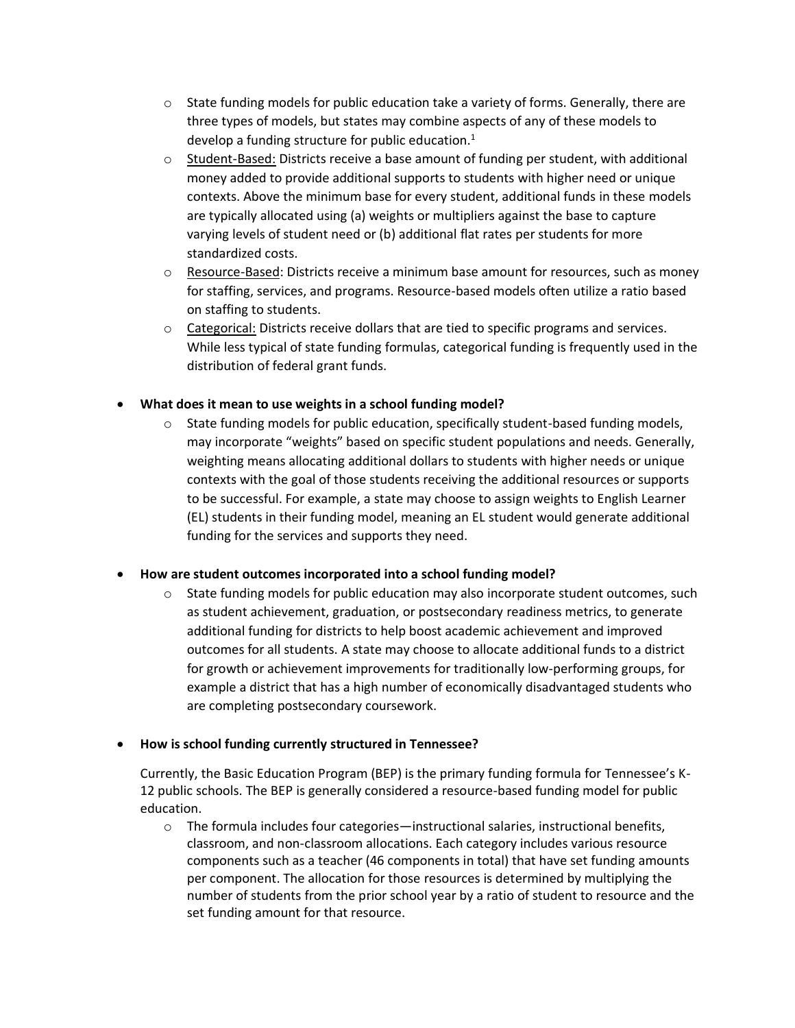- $\circ$  State funding models for public education take a variety of forms. Generally, there are three types of models, but states may combine aspects of any of these models to develop a funding structure for public education. $1$
- $\circ$  Student-Based: Districts receive a base amount of funding per student, with additional money added to provide additional supports to students with higher need or unique contexts. Above the minimum base for every student, additional funds in these models are typically allocated using (a) weights or multipliers against the base to capture varying levels of student need or (b) additional flat rates per students for more standardized costs.
- o Resource-Based: Districts receive a minimum base amount for resources, such as money for staffing, services, and programs. Resource-based models often utilize a ratio based on staffing to students.
- o Categorical: Districts receive dollars that are tied to specific programs and services. While less typical of state funding formulas, categorical funding is frequently used in the distribution of federal grant funds.
- **What does it mean to use weights in a school funding model?**
	- $\circ$  State funding models for public education, specifically student-based funding models, may incorporate "weights" based on specific student populations and needs. Generally, weighting means allocating additional dollars to students with higher needs or unique contexts with the goal of those students receiving the additional resources or supports to be successful. For example, a state may choose to assign weights to English Learner (EL) students in their funding model, meaning an EL student would generate additional funding for the services and supports they need.

#### • **How are student outcomes incorporated into a school funding model?**

o State funding models for public education may also incorporate student outcomes, such as student achievement, graduation, or postsecondary readiness metrics, to generate additional funding for districts to help boost academic achievement and improved outcomes for all students. A state may choose to allocate additional funds to a district for growth or achievement improvements for traditionally low-performing groups, for example a district that has a high number of economically disadvantaged students who are completing postsecondary coursework.

#### • **How is school funding currently structured in Tennessee?**

Currently, the Basic Education Program (BEP) is the primary funding formula for Tennessee's K-12 public schools. The BEP is generally considered a resource-based funding model for public education.

 $\circ$  The formula includes four categories—instructional salaries, instructional benefits, classroom, and non-classroom allocations. Each category includes various resource components such as a teacher (46 components in total) that have set funding amounts per component. The allocation for those resources is determined by multiplying the number of students from the prior school year by a ratio of student to resource and the set funding amount for that resource.